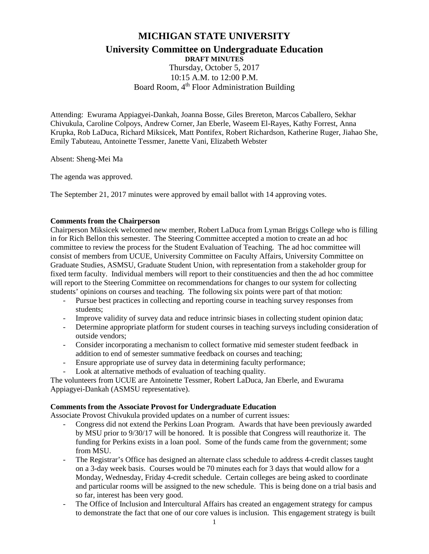# **MICHIGAN STATE UNIVERSITY**

**University Committee on Undergraduate Education**

**DRAFT MINUTES** Thursday, October 5, 2017

10:15 A.M. to 12:00 P.M. Board Room, 4<sup>th</sup> Floor Administration Building

Attending: Ewurama Appiagyei-Dankah, Joanna Bosse, Giles Brereton, Marcos Caballero, Sekhar Chivukula, Caroline Colpoys, Andrew Corner, Jan Eberle, Waseem El-Rayes, Kathy Forrest, Anna Krupka, Rob LaDuca, Richard Miksicek, Matt Pontifex, Robert Richardson, Katherine Ruger, Jiahao She, Emily Tabuteau, Antoinette Tessmer, Janette Vani, Elizabeth Webster

Absent: Sheng-Mei Ma

The agenda was approved.

The September 21, 2017 minutes were approved by email ballot with 14 approving votes.

#### **Comments from the Chairperson**

Chairperson Miksicek welcomed new member, Robert LaDuca from Lyman Briggs College who is filling in for Rich Bellon this semester. The Steering Committee accepted a motion to create an ad hoc committee to review the process for the Student Evaluation of Teaching. The ad hoc committee will consist of members from UCUE, University Committee on Faculty Affairs, University Committee on Graduate Studies, ASMSU, Graduate Student Union, with representation from a stakeholder group for fixed term faculty. Individual members will report to their constituencies and then the ad hoc committee will report to the Steering Committee on recommendations for changes to our system for collecting students' opinions on courses and teaching. The following six points were part of that motion:

- Pursue best practices in collecting and reporting course in teaching survey responses from students;
- Improve validity of survey data and reduce intrinsic biases in collecting student opinion data;
- Determine appropriate platform for student courses in teaching surveys including consideration of outside vendors;
- Consider incorporating a mechanism to collect formative mid semester student feedback in addition to end of semester summative feedback on courses and teaching;
- Ensure appropriate use of survey data in determining faculty performance;
- Look at alternative methods of evaluation of teaching quality.

The volunteers from UCUE are Antoinette Tessmer, Robert LaDuca, Jan Eberle, and Ewurama Appiagyei-Dankah (ASMSU representative).

#### **Comments from the Associate Provost for Undergraduate Education**

Associate Provost Chivukula provided updates on a number of current issues:

- Congress did not extend the Perkins Loan Program. Awards that have been previously awarded by MSU prior to 9/30/17 will be honored. It is possible that Congress will reauthorize it. The funding for Perkins exists in a loan pool. Some of the funds came from the government; some from MSU.
- The Registrar's Office has designed an alternate class schedule to address 4-credit classes taught on a 3-day week basis. Courses would be 70 minutes each for 3 days that would allow for a Monday, Wednesday, Friday 4-credit schedule. Certain colleges are being asked to coordinate and particular rooms will be assigned to the new schedule. This is being done on a trial basis and so far, interest has been very good.
- The Office of Inclusion and Intercultural Affairs has created an engagement strategy for campus to demonstrate the fact that one of our core values is inclusion. This engagement strategy is built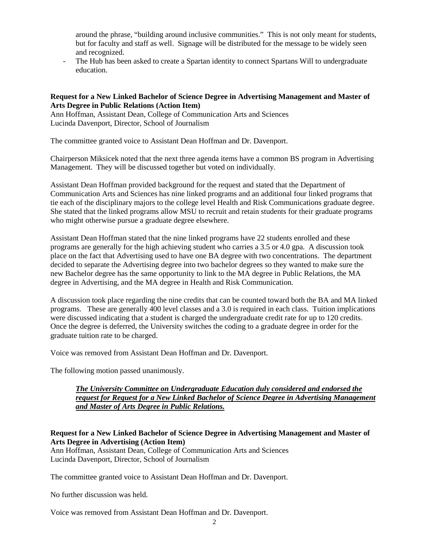around the phrase, "building around inclusive communities." This is not only meant for students, but for faculty and staff as well. Signage will be distributed for the message to be widely seen and recognized.

- The Hub has been asked to create a Spartan identity to connect Spartans Will to undergraduate education.

#### **Request for a New Linked Bachelor of Science Degree in Advertising Management and Master of Arts Degree in Public Relations (Action Item)**

Ann Hoffman, Assistant Dean, College of Communication Arts and Sciences Lucinda Davenport, Director, School of Journalism

The committee granted voice to Assistant Dean Hoffman and Dr. Davenport.

Chairperson Miksicek noted that the next three agenda items have a common BS program in Advertising Management. They will be discussed together but voted on individually.

Assistant Dean Hoffman provided background for the request and stated that the Department of Communication Arts and Sciences has nine linked programs and an additional four linked programs that tie each of the disciplinary majors to the college level Health and Risk Communications graduate degree. She stated that the linked programs allow MSU to recruit and retain students for their graduate programs who might otherwise pursue a graduate degree elsewhere.

Assistant Dean Hoffman stated that the nine linked programs have 22 students enrolled and these programs are generally for the high achieving student who carries a 3.5 or 4.0 gpa. A discussion took place on the fact that Advertising used to have one BA degree with two concentrations. The department decided to separate the Advertising degree into two bachelor degrees so they wanted to make sure the new Bachelor degree has the same opportunity to link to the MA degree in Public Relations, the MA degree in Advertising, and the MA degree in Health and Risk Communication.

A discussion took place regarding the nine credits that can be counted toward both the BA and MA linked programs. These are generally 400 level classes and a 3.0 is required in each class. Tuition implications were discussed indicating that a student is charged the undergraduate credit rate for up to 120 credits. Once the degree is deferred, the University switches the coding to a graduate degree in order for the graduate tuition rate to be charged.

Voice was removed from Assistant Dean Hoffman and Dr. Davenport.

The following motion passed unanimously.

### *The University Committee on Undergraduate Education duly considered and endorsed the request for Request for a New Linked Bachelor of Science Degree in Advertising Management and Master of Arts Degree in Public Relations.*

## **Request for a New Linked Bachelor of Science Degree in Advertising Management and Master of Arts Degree in Advertising (Action Item)**

Ann Hoffman, Assistant Dean, College of Communication Arts and Sciences Lucinda Davenport, Director, School of Journalism

The committee granted voice to Assistant Dean Hoffman and Dr. Davenport.

No further discussion was held.

Voice was removed from Assistant Dean Hoffman and Dr. Davenport.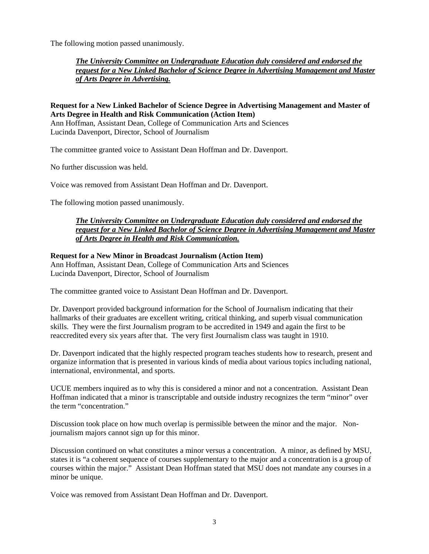The following motion passed unanimously.

*The University Committee on Undergraduate Education duly considered and endorsed the request for a New Linked Bachelor of Science Degree in Advertising Management and Master of Arts Degree in Advertising.*

### **Request for a New Linked Bachelor of Science Degree in Advertising Management and Master of Arts Degree in Health and Risk Communication (Action Item)**

Ann Hoffman, Assistant Dean, College of Communication Arts and Sciences Lucinda Davenport, Director, School of Journalism

The committee granted voice to Assistant Dean Hoffman and Dr. Davenport.

No further discussion was held.

Voice was removed from Assistant Dean Hoffman and Dr. Davenport.

The following motion passed unanimously.

## *The University Committee on Undergraduate Education duly considered and endorsed the request for a New Linked Bachelor of Science Degree in Advertising Management and Master of Arts Degree in Health and Risk Communication.*

## **Request for a New Minor in Broadcast Journalism (Action Item)**

Ann Hoffman, Assistant Dean, College of Communication Arts and Sciences Lucinda Davenport, Director, School of Journalism

The committee granted voice to Assistant Dean Hoffman and Dr. Davenport.

Dr. Davenport provided background information for the School of Journalism indicating that their hallmarks of their graduates are excellent writing, critical thinking, and superb visual communication skills. They were the first Journalism program to be accredited in 1949 and again the first to be reaccredited every six years after that. The very first Journalism class was taught in 1910.

Dr. Davenport indicated that the highly respected program teaches students how to research, present and organize information that is presented in various kinds of media about various topics including national, international, environmental, and sports.

UCUE members inquired as to why this is considered a minor and not a concentration. Assistant Dean Hoffman indicated that a minor is transcriptable and outside industry recognizes the term "minor" over the term "concentration."

Discussion took place on how much overlap is permissible between the minor and the major. Nonjournalism majors cannot sign up for this minor.

Discussion continued on what constitutes a minor versus a concentration. A minor, as defined by MSU, states it is "a coherent sequence of courses supplementary to the major and a concentration is a group of courses within the major." Assistant Dean Hoffman stated that MSU does not mandate any courses in a minor be unique.

Voice was removed from Assistant Dean Hoffman and Dr. Davenport.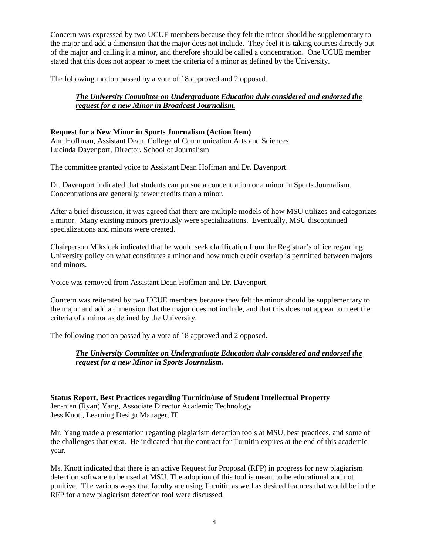Concern was expressed by two UCUE members because they felt the minor should be supplementary to the major and add a dimension that the major does not include. They feel it is taking courses directly out of the major and calling it a minor, and therefore should be called a concentration. One UCUE member stated that this does not appear to meet the criteria of a minor as defined by the University.

The following motion passed by a vote of 18 approved and 2 opposed.

# *The University Committee on Undergraduate Education duly considered and endorsed the request for a new Minor in Broadcast Journalism.*

## **Request for a New Minor in Sports Journalism (Action Item)**

Ann Hoffman, Assistant Dean, College of Communication Arts and Sciences Lucinda Davenport, Director, School of Journalism

The committee granted voice to Assistant Dean Hoffman and Dr. Davenport.

Dr. Davenport indicated that students can pursue a concentration or a minor in Sports Journalism. Concentrations are generally fewer credits than a minor.

After a brief discussion, it was agreed that there are multiple models of how MSU utilizes and categorizes a minor. Many existing minors previously were specializations. Eventually, MSU discontinued specializations and minors were created.

Chairperson Miksicek indicated that he would seek clarification from the Registrar's office regarding University policy on what constitutes a minor and how much credit overlap is permitted between majors and minors.

Voice was removed from Assistant Dean Hoffman and Dr. Davenport.

Concern was reiterated by two UCUE members because they felt the minor should be supplementary to the major and add a dimension that the major does not include, and that this does not appear to meet the criteria of a minor as defined by the University.

The following motion passed by a vote of 18 approved and 2 opposed.

# *The University Committee on Undergraduate Education duly considered and endorsed the request for a new Minor in Sports Journalism.*

**Status Report, Best Practices regarding Turnitin/use of Student Intellectual Property** Jen-nien (Ryan) Yang, Associate Director Academic Technology Jess Knott, Learning Design Manager, IT

Mr. Yang made a presentation regarding plagiarism detection tools at MSU, best practices, and some of the challenges that exist. He indicated that the contract for Turnitin expires at the end of this academic year.

Ms. Knott indicated that there is an active Request for Proposal (RFP) in progress for new plagiarism detection software to be used at MSU. The adoption of this tool is meant to be educational and not punitive. The various ways that faculty are using Turnitin as well as desired features that would be in the RFP for a new plagiarism detection tool were discussed.